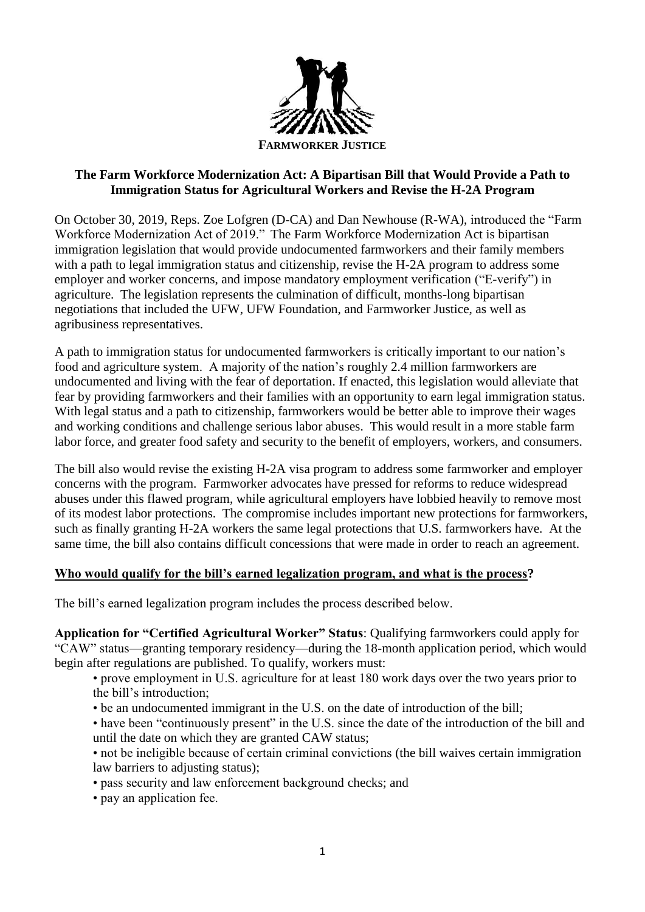

## **The Farm Workforce Modernization Act: A Bipartisan Bill that Would Provide a Path to Immigration Status for Agricultural Workers and Revise the H-2A Program**

On October 30, 2019, Reps. Zoe Lofgren (D-CA) and Dan Newhouse (R-WA), introduced the "Farm Workforce Modernization Act of 2019." The Farm Workforce Modernization Act is bipartisan immigration legislation that would provide undocumented farmworkers and their family members with a path to legal immigration status and citizenship, revise the H-2A program to address some employer and worker concerns, and impose mandatory employment verification ("E-verify") in agriculture. The legislation represents the culmination of difficult, months-long bipartisan negotiations that included the UFW, UFW Foundation, and Farmworker Justice, as well as agribusiness representatives.

A path to immigration status for undocumented farmworkers is critically important to our nation's food and agriculture system. A majority of the nation's roughly 2.4 million farmworkers are undocumented and living with the fear of deportation. If enacted, this legislation would alleviate that fear by providing farmworkers and their families with an opportunity to earn legal immigration status. With legal status and a path to citizenship, farmworkers would be better able to improve their wages and working conditions and challenge serious labor abuses. This would result in a more stable farm labor force, and greater food safety and security to the benefit of employers, workers, and consumers.

The bill also would revise the existing H-2A visa program to address some farmworker and employer concerns with the program. Farmworker advocates have pressed for reforms to reduce widespread abuses under this flawed program, while agricultural employers have lobbied heavily to remove most of its modest labor protections. The compromise includes important new protections for farmworkers, such as finally granting H-2A workers the same legal protections that U.S. farmworkers have. At the same time, the bill also contains difficult concessions that were made in order to reach an agreement.

## **Who would qualify for the bill's earned legalization program, and what is the process?**

The bill's earned legalization program includes the process described below.

**Application for "Certified Agricultural Worker" Status**: Qualifying farmworkers could apply for "CAW" status—granting temporary residency—during the 18-month application period, which would begin after regulations are published. To qualify, workers must:

• prove employment in U.S. agriculture for at least 180 work days over the two years prior to the bill's introduction;

- be an undocumented immigrant in the U.S. on the date of introduction of the bill;
- have been "continuously present" in the U.S. since the date of the introduction of the bill and until the date on which they are granted CAW status;
- not be ineligible because of certain criminal convictions (the bill waives certain immigration law barriers to adjusting status);
- pass security and law enforcement background checks; and
- pay an application fee.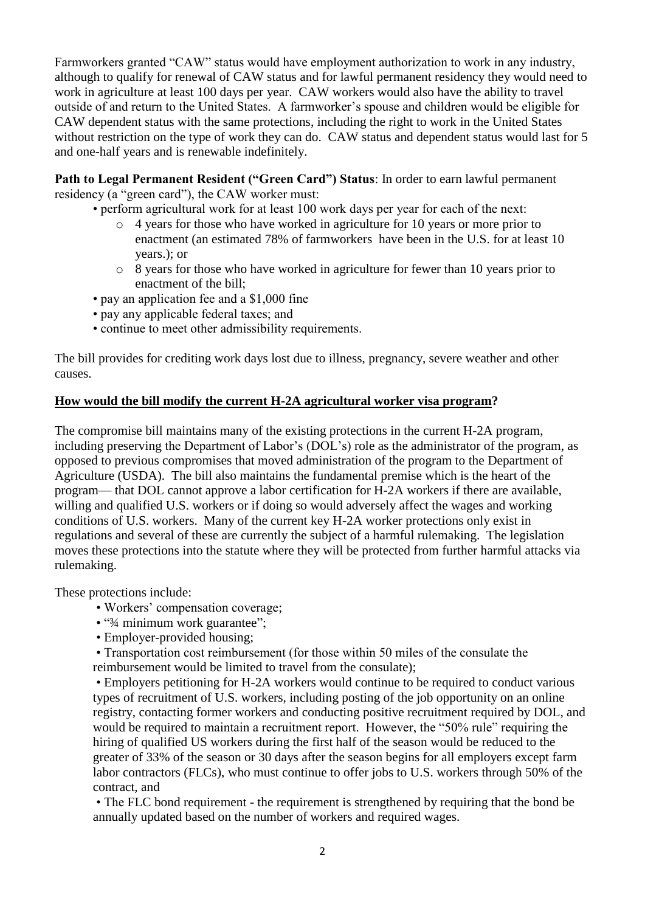Farmworkers granted "CAW" status would have employment authorization to work in any industry, although to qualify for renewal of CAW status and for lawful permanent residency they would need to work in agriculture at least 100 days per year. CAW workers would also have the ability to travel outside of and return to the United States. A farmworker's spouse and children would be eligible for CAW dependent status with the same protections, including the right to work in the United States without restriction on the type of work they can do. CAW status and dependent status would last for 5 and one-half years and is renewable indefinitely.

**Path to Legal Permanent Resident ("Green Card") Status**: In order to earn lawful permanent residency (a "green card"), the CAW worker must:

- perform agricultural work for at least 100 work days per year for each of the next:
	- o 4 years for those who have worked in agriculture for 10 years or more prior to enactment (an estimated 78% of farmworkers have been in the U.S. for at least 10 years.); or
	- o 8 years for those who have worked in agriculture for fewer than 10 years prior to enactment of the bill;
- pay an application fee and a \$1,000 fine
- pay any applicable federal taxes; and
- continue to meet other admissibility requirements.

The bill provides for crediting work days lost due to illness, pregnancy, severe weather and other causes.

#### **How would the bill modify the current H-2A agricultural worker visa program?**

The compromise bill maintains many of the existing protections in the current H-2A program, including preserving the Department of Labor's (DOL's) role as the administrator of the program, as opposed to previous compromises that moved administration of the program to the Department of Agriculture (USDA). The bill also maintains the fundamental premise which is the heart of the program— that DOL cannot approve a labor certification for H-2A workers if there are available, willing and qualified U.S. workers or if doing so would adversely affect the wages and working conditions of U.S. workers. Many of the current key H-2A worker protections only exist in regulations and several of these are currently the subject of a harmful rulemaking. The legislation moves these protections into the statute where they will be protected from further harmful attacks via rulemaking.

These protections include:

- Workers' compensation coverage;
- "3/4 minimum work guarantee":
- Employer-provided housing;

• Transportation cost reimbursement (for those within 50 miles of the consulate the reimbursement would be limited to travel from the consulate);

• Employers petitioning for H-2A workers would continue to be required to conduct various types of recruitment of U.S. workers, including posting of the job opportunity on an online registry, contacting former workers and conducting positive recruitment required by DOL, and would be required to maintain a recruitment report. However, the "50% rule" requiring the hiring of qualified US workers during the first half of the season would be reduced to the greater of 33% of the season or 30 days after the season begins for all employers except farm labor contractors (FLCs), who must continue to offer jobs to U.S. workers through 50% of the contract, and

• The FLC bond requirement - the requirement is strengthened by requiring that the bond be annually updated based on the number of workers and required wages.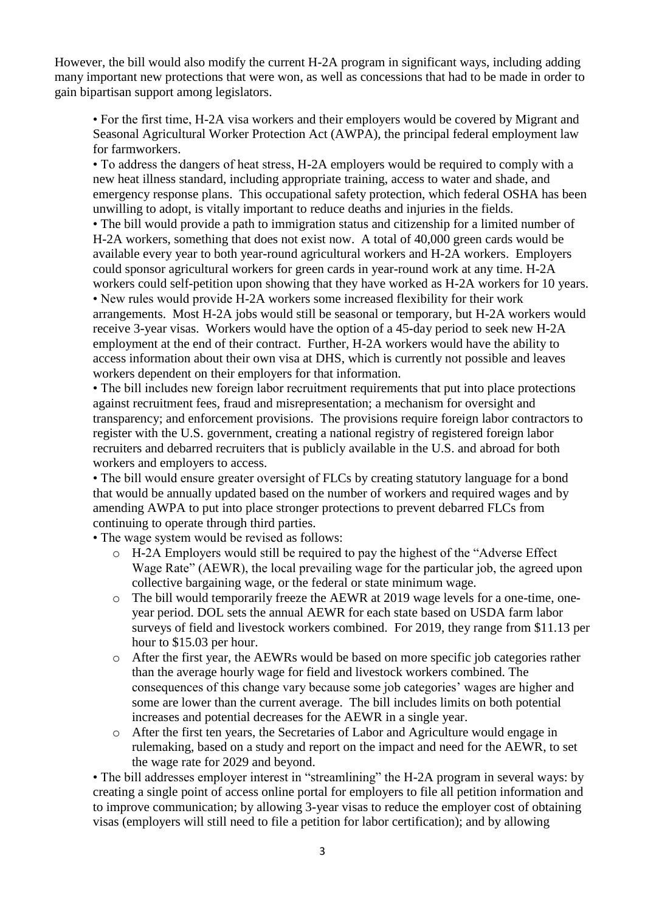However, the bill would also modify the current H-2A program in significant ways, including adding many important new protections that were won, as well as concessions that had to be made in order to gain bipartisan support among legislators.

• For the first time, H-2A visa workers and their employers would be covered by Migrant and Seasonal Agricultural Worker Protection Act (AWPA), the principal federal employment law for farmworkers.

• To address the dangers of heat stress, H-2A employers would be required to comply with a new heat illness standard, including appropriate training, access to water and shade, and emergency response plans. This occupational safety protection, which federal OSHA has been unwilling to adopt, is vitally important to reduce deaths and injuries in the fields.

• The bill would provide a path to immigration status and citizenship for a limited number of H-2A workers, something that does not exist now. A total of 40,000 green cards would be available every year to both year-round agricultural workers and H-2A workers. Employers could sponsor agricultural workers for green cards in year-round work at any time. H-2A workers could self-petition upon showing that they have worked as H-2A workers for 10 years. • New rules would provide H-2A workers some increased flexibility for their work arrangements. Most H-2A jobs would still be seasonal or temporary, but H-2A workers would

receive 3-year visas. Workers would have the option of a 45-day period to seek new H-2A employment at the end of their contract. Further, H-2A workers would have the ability to access information about their own visa at DHS, which is currently not possible and leaves workers dependent on their employers for that information.

• The bill includes new foreign labor recruitment requirements that put into place protections against recruitment fees, fraud and misrepresentation; a mechanism for oversight and transparency; and enforcement provisions. The provisions require foreign labor contractors to register with the U.S. government, creating a national registry of registered foreign labor recruiters and debarred recruiters that is publicly available in the U.S. and abroad for both workers and employers to access.

• The bill would ensure greater oversight of FLCs by creating statutory language for a bond that would be annually updated based on the number of workers and required wages and by amending AWPA to put into place stronger protections to prevent debarred FLCs from continuing to operate through third parties.

• The wage system would be revised as follows:

- o H-2A Employers would still be required to pay the highest of the "Adverse Effect Wage Rate" (AEWR), the local prevailing wage for the particular job, the agreed upon collective bargaining wage, or the federal or state minimum wage.
- o The bill would temporarily freeze the AEWR at 2019 wage levels for a one-time, oneyear period. DOL sets the annual AEWR for each state based on USDA farm labor surveys of field and livestock workers combined. For 2019, they range from \$11.13 per hour to \$15.03 per hour.
- o After the first year, the AEWRs would be based on more specific job categories rather than the average hourly wage for field and livestock workers combined. The consequences of this change vary because some job categories' wages are higher and some are lower than the current average. The bill includes limits on both potential increases and potential decreases for the AEWR in a single year.
- o After the first ten years, the Secretaries of Labor and Agriculture would engage in rulemaking, based on a study and report on the impact and need for the AEWR, to set the wage rate for 2029 and beyond.

• The bill addresses employer interest in "streamlining" the H-2A program in several ways: by creating a single point of access online portal for employers to file all petition information and to improve communication; by allowing 3-year visas to reduce the employer cost of obtaining visas (employers will still need to file a petition for labor certification); and by allowing